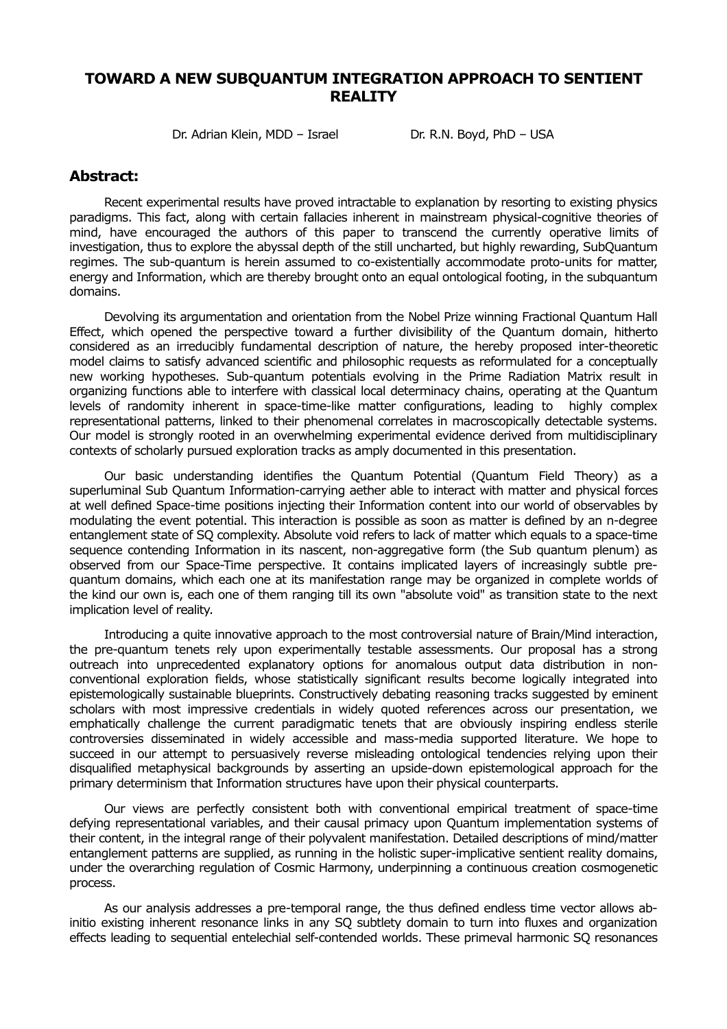## **TOWARD A NEW SUBQUANTUM INTEGRATION APPROACH TO SENTIENT REALITY**

Dr. Adrian Klein, MDD – Israel Dr. R.N. Boyd, PhD – USA

### **Abstract:**

Recent experimental results have proved intractable to explanation by resorting to existing physics paradigms. This fact, along with certain fallacies inherent in mainstream physical-cognitive theories of mind, have encouraged the authors of this paper to transcend the currently operative limits of investigation, thus to explore the abyssal depth of the still uncharted, but highly rewarding, SubQuantum regimes. The sub-quantum is herein assumed to co-existentially accommodate proto-units for matter, energy and Information, which are thereby brought onto an equal ontological footing, in the subquantum domains.

Devolving its argumentation and orientation from the Nobel Prize winning Fractional Quantum Hall Effect, which opened the perspective toward a further divisibility of the Quantum domain, hitherto considered as an irreducibly fundamental description of nature, the hereby proposed inter-theoretic model claims to satisfy advanced scientific and philosophic requests as reformulated for a conceptually new working hypotheses. Sub-quantum potentials evolving in the Prime Radiation Matrix result in organizing functions able to interfere with classical local determinacy chains, operating at the Quantum levels of randomity inherent in space-time-like matter configurations, leading to highly complex representational patterns, linked to their phenomenal correlates in macroscopically detectable systems. Our model is strongly rooted in an overwhelming experimental evidence derived from multidisciplinary contexts of scholarly pursued exploration tracks as amply documented in this presentation.

Our basic understanding identifies the Quantum Potential (Quantum Field Theory) as a superluminal Sub Quantum Information-carrying aether able to interact with matter and physical forces at well defined Space-time positions injecting their Information content into our world of observables by modulating the event potential. This interaction is possible as soon as matter is defined by an n-degree entanglement state of SQ complexity. Absolute void refers to lack of matter which equals to a space-time sequence contending Information in its nascent, non-aggregative form (the Sub quantum plenum) as observed from our Space-Time perspective. It contains implicated layers of increasingly subtle prequantum domains, which each one at its manifestation range may be organized in complete worlds of the kind our own is, each one of them ranging till its own "absolute void" as transition state to the next implication level of reality.

Introducing a quite innovative approach to the most controversial nature of Brain/Mind interaction, the pre-quantum tenets rely upon experimentally testable assessments. Our proposal has a strong outreach into unprecedented explanatory options for anomalous output data distribution in nonconventional exploration fields, whose statistically significant results become logically integrated into epistemologically sustainable blueprints. Constructively debating reasoning tracks suggested by eminent scholars with most impressive credentials in widely quoted references across our presentation, we emphatically challenge the current paradigmatic tenets that are obviously inspiring endless sterile controversies disseminated in widely accessible and mass-media supported literature. We hope to succeed in our attempt to persuasively reverse misleading ontological tendencies relying upon their disqualified metaphysical backgrounds by asserting an upside-down epistemological approach for the primary determinism that Information structures have upon their physical counterparts.

Our views are perfectly consistent both with conventional empirical treatment of space-time defying representational variables, and their causal primacy upon Quantum implementation systems of their content, in the integral range of their polyvalent manifestation. Detailed descriptions of mind/matter entanglement patterns are supplied, as running in the holistic super-implicative sentient reality domains, under the overarching regulation of Cosmic Harmony, underpinning a continuous creation cosmogenetic process.

As our analysis addresses a pre-temporal range, the thus defined endless time vector allows abinitio existing inherent resonance links in any SQ subtlety domain to turn into fluxes and organization effects leading to sequential entelechial self-contended worlds. These primeval harmonic SQ resonances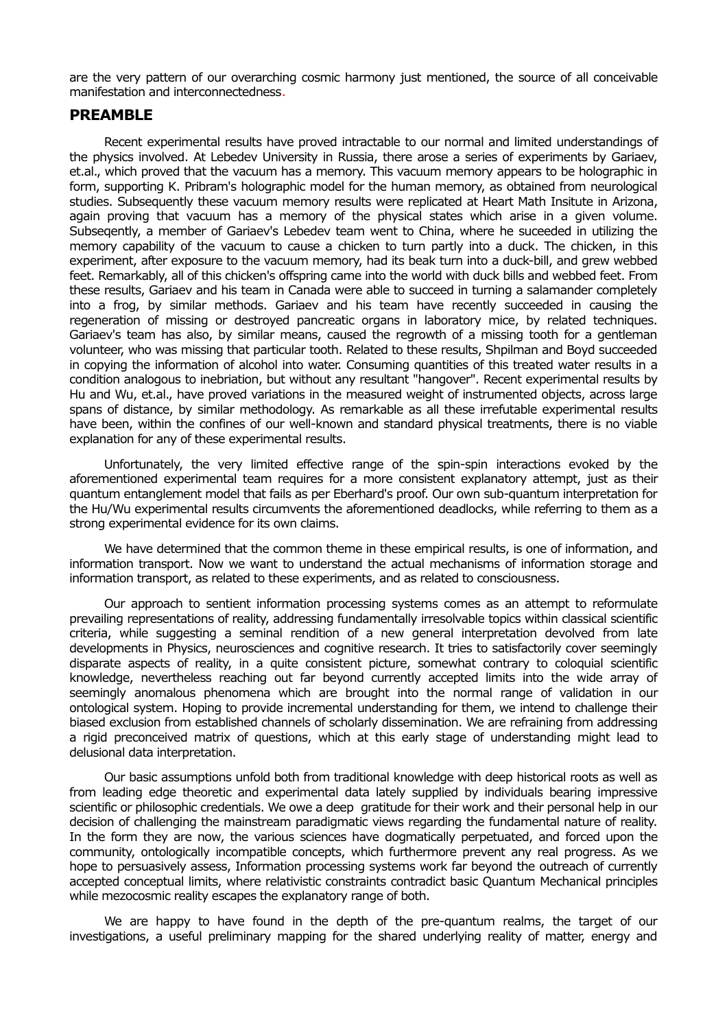are the very pattern of our overarching cosmic harmony just mentioned, the source of all conceivable manifestation and interconnectedness.

#### **PREAMBLE**

Recent experimental results have proved intractable to our normal and limited understandings of the physics involved. At Lebedev University in Russia, there arose a series of experiments by Gariaev, et.al., which proved that the vacuum has a memory. This vacuum memory appears to be holographic in form, supporting K. Pribram's holographic model for the human memory, as obtained from neurological studies. Subsequently these vacuum memory results were replicated at Heart Math Insitute in Arizona, again proving that vacuum has a memory of the physical states which arise in a given volume. Subseqently, a member of Gariaev's Lebedev team went to China, where he suceeded in utilizing the memory capability of the vacuum to cause a chicken to turn partly into a duck. The chicken, in this experiment, after exposure to the vacuum memory, had its beak turn into a duck-bill, and grew webbed feet. Remarkably, all of this chicken's offspring came into the world with duck bills and webbed feet. From these results, Gariaev and his team in Canada were able to succeed in turning a salamander completely into a frog, by similar methods. Gariaev and his team have recently succeeded in causing the regeneration of missing or destroyed pancreatic organs in laboratory mice, by related techniques. Gariaev's team has also, by similar means, caused the regrowth of a missing tooth for a gentleman volunteer, who was missing that particular tooth. Related to these results, Shpilman and Boyd succeeded in copying the information of alcohol into water. Consuming quantities of this treated water results in a condition analogous to inebriation, but without any resultant "hangover". Recent experimental results by Hu and Wu, et.al., have proved variations in the measured weight of instrumented objects, across large spans of distance, by similar methodology. As remarkable as all these irrefutable experimental results have been, within the confines of our well-known and standard physical treatments, there is no viable explanation for any of these experimental results.

Unfortunately, the very limited effective range of the spin-spin interactions evoked by the aforementioned experimental team requires for a more consistent explanatory attempt, just as their quantum entanglement model that fails as per Eberhard's proof. Our own sub-quantum interpretation for the Hu/Wu experimental results circumvents the aforementioned deadlocks, while referring to them as a strong experimental evidence for its own claims.

We have determined that the common theme in these empirical results, is one of information, and information transport. Now we want to understand the actual mechanisms of information storage and information transport, as related to these experiments, and as related to consciousness.

Our approach to sentient information processing systems comes as an attempt to reformulate prevailing representations of reality, addressing fundamentally irresolvable topics within classical scientific criteria, while suggesting a seminal rendition of a new general interpretation devolved from late developments in Physics, neurosciences and cognitive research. It tries to satisfactorily cover seemingly disparate aspects of reality, in a quite consistent picture, somewhat contrary to coloquial scientific knowledge, nevertheless reaching out far beyond currently accepted limits into the wide array of seemingly anomalous phenomena which are brought into the normal range of validation in our ontological system. Hoping to provide incremental understanding for them, we intend to challenge their biased exclusion from established channels of scholarly dissemination. We are refraining from addressing a rigid preconceived matrix of questions, which at this early stage of understanding might lead to delusional data interpretation.

Our basic assumptions unfold both from traditional knowledge with deep historical roots as well as from leading edge theoretic and experimental data lately supplied by individuals bearing impressive scientific or philosophic credentials. We owe a deep gratitude for their work and their personal help in our decision of challenging the mainstream paradigmatic views regarding the fundamental nature of reality. In the form they are now, the various sciences have dogmatically perpetuated, and forced upon the community, ontologically incompatible concepts, which furthermore prevent any real progress. As we hope to persuasively assess, Information processing systems work far beyond the outreach of currently accepted conceptual limits, where relativistic constraints contradict basic Quantum Mechanical principles while mezocosmic reality escapes the explanatory range of both.

We are happy to have found in the depth of the pre-quantum realms, the target of our investigations, a useful preliminary mapping for the shared underlying reality of matter, energy and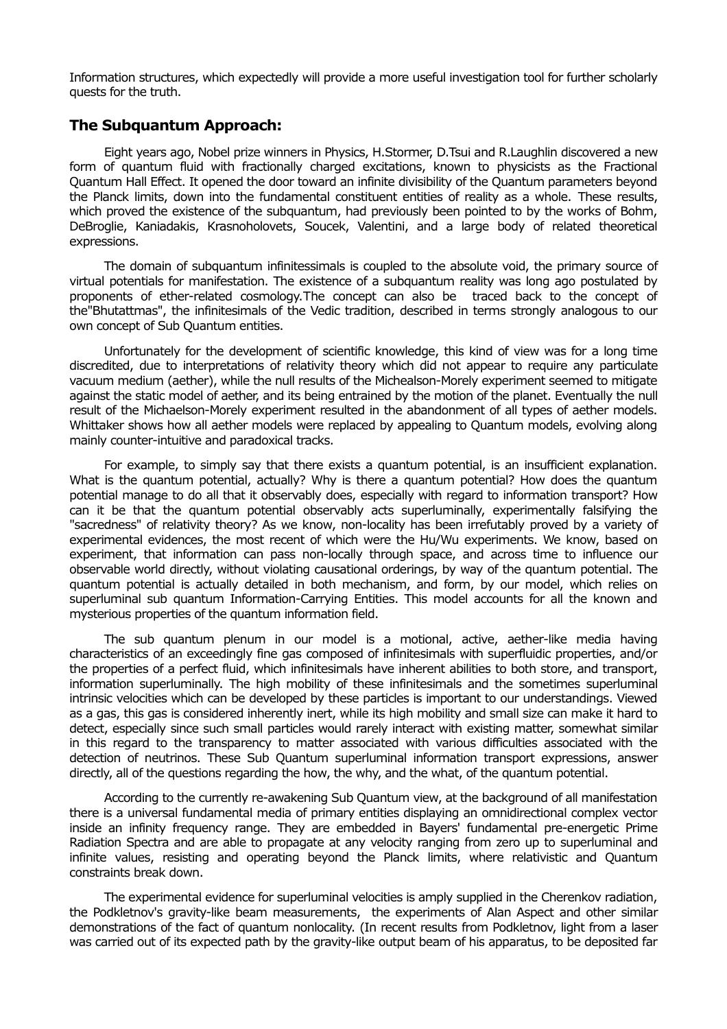Information structures, which expectedly will provide a more useful investigation tool for further scholarly quests for the truth.

## **The Subquantum Approach:**

Eight years ago, Nobel prize winners in Physics, H.Stormer, D.Tsui and R.Laughlin discovered a new form of quantum fluid with fractionally charged excitations, known to physicists as the Fractional Quantum Hall Effect. It opened the door toward an infinite divisibility of the Quantum parameters beyond the Planck limits, down into the fundamental constituent entities of reality as a whole. These results, which proved the existence of the subquantum, had previously been pointed to by the works of Bohm, DeBroglie, Kaniadakis, Krasnoholovets, Soucek, Valentini, and a large body of related theoretical expressions.

The domain of subquantum infinitessimals is coupled to the absolute void, the primary source of virtual potentials for manifestation. The existence of a subquantum reality was long ago postulated by proponents of ether-related cosmology.The concept can also be traced back to the concept of the"Bhutattmas", the infinitesimals of the Vedic tradition, described in terms strongly analogous to our own concept of Sub Quantum entities.

Unfortunately for the development of scientific knowledge, this kind of view was for a long time discredited, due to interpretations of relativity theory which did not appear to require any particulate vacuum medium (aether), while the null results of the Michealson-Morely experiment seemed to mitigate against the static model of aether, and its being entrained by the motion of the planet. Eventually the null result of the Michaelson-Morely experiment resulted in the abandonment of all types of aether models. Whittaker shows how all aether models were replaced by appealing to Quantum models, evolving along mainly counter-intuitive and paradoxical tracks.

For example, to simply say that there exists a quantum potential, is an insufficient explanation. What is the quantum potential, actually? Why is there a quantum potential? How does the quantum potential manage to do all that it observably does, especially with regard to information transport? How can it be that the quantum potential observably acts superluminally, experimentally falsifying the "sacredness" of relativity theory? As we know, non-locality has been irrefutably proved by a variety of experimental evidences, the most recent of which were the Hu/Wu experiments. We know, based on experiment, that information can pass non-locally through space, and across time to influence our observable world directly, without violating causational orderings, by way of the quantum potential. The quantum potential is actually detailed in both mechanism, and form, by our model, which relies on superluminal sub quantum Information-Carrying Entities. This model accounts for all the known and mysterious properties of the quantum information field.

The sub quantum plenum in our model is a motional, active, aether-like media having characteristics of an exceedingly fine gas composed of infinitesimals with superfluidic properties, and/or the properties of a perfect fluid, which infinitesimals have inherent abilities to both store, and transport, information superluminally. The high mobility of these infinitesimals and the sometimes superluminal intrinsic velocities which can be developed by these particles is important to our understandings. Viewed as a gas, this gas is considered inherently inert, while its high mobility and small size can make it hard to detect, especially since such small particles would rarely interact with existing matter, somewhat similar in this regard to the transparency to matter associated with various difficulties associated with the detection of neutrinos. These Sub Quantum superluminal information transport expressions, answer directly, all of the questions regarding the how, the why, and the what, of the quantum potential.

According to the currently re-awakening Sub Quantum view, at the background of all manifestation there is a universal fundamental media of primary entities displaying an omnidirectional complex vector inside an infinity frequency range. They are embedded in Bayers' fundamental pre-energetic Prime Radiation Spectra and are able to propagate at any velocity ranging from zero up to superluminal and infinite values, resisting and operating beyond the Planck limits, where relativistic and Quantum constraints break down.

The experimental evidence for superluminal velocities is amply supplied in the Cherenkov radiation, the Podkletnov's gravity-like beam measurements, the experiments of Alan Aspect and other similar demonstrations of the fact of quantum nonlocality. (In recent results from Podkletnov, light from a laser was carried out of its expected path by the gravity-like output beam of his apparatus, to be deposited far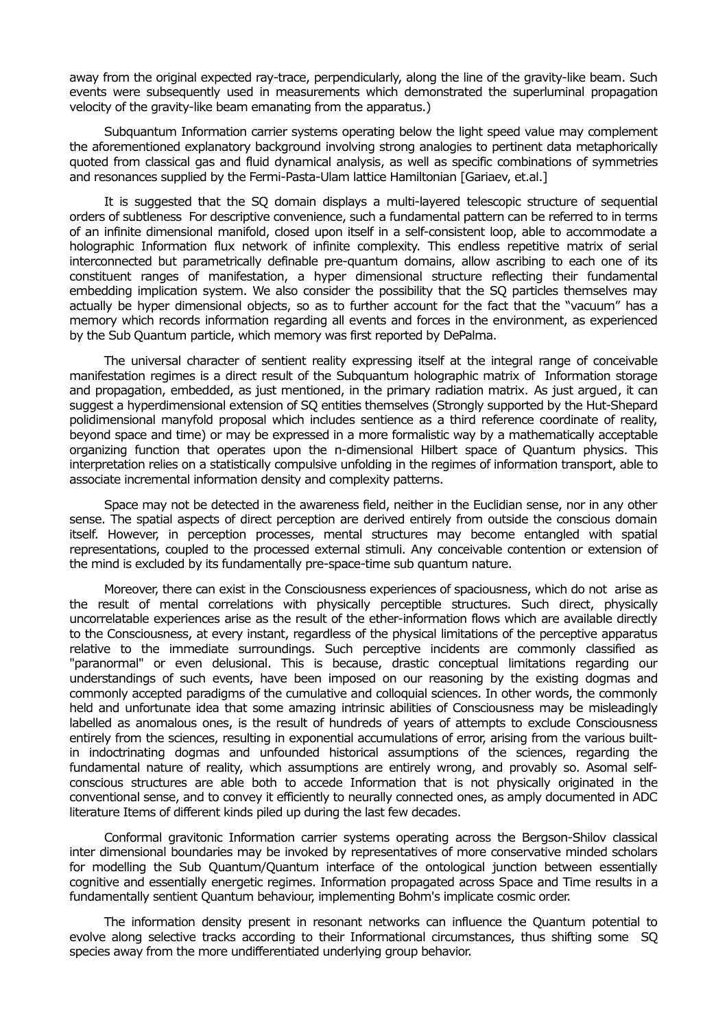away from the original expected ray-trace, perpendicularly, along the line of the gravity-like beam. Such events were subsequently used in measurements which demonstrated the superluminal propagation velocity of the gravity-like beam emanating from the apparatus.)

Subquantum Information carrier systems operating below the light speed value may complement the aforementioned explanatory background involving strong analogies to pertinent data metaphorically quoted from classical gas and fluid dynamical analysis, as well as specific combinations of symmetries and resonances supplied by the Fermi-Pasta-Ulam lattice Hamiltonian [Gariaev, et.al.]

It is suggested that the SQ domain displays a multi-layered telescopic structure of sequential orders of subtleness For descriptive convenience, such a fundamental pattern can be referred to in terms of an infinite dimensional manifold, closed upon itself in a self-consistent loop, able to accommodate a holographic Information flux network of infinite complexity. This endless repetitive matrix of serial interconnected but parametrically definable pre-quantum domains, allow ascribing to each one of its constituent ranges of manifestation, a hyper dimensional structure reflecting their fundamental embedding implication system. We also consider the possibility that the SQ particles themselves may actually be hyper dimensional objects, so as to further account for the fact that the "vacuum" has a memory which records information regarding all events and forces in the environment, as experienced by the Sub Quantum particle, which memory was first reported by DePalma.

The universal character of sentient reality expressing itself at the integral range of conceivable manifestation regimes is a direct result of the Subquantum holographic matrix of Information storage and propagation, embedded, as just mentioned, in the primary radiation matrix. As just argued, it can suggest a hyperdimensional extension of SQ entities themselves (Strongly supported by the Hut-Shepard polidimensional manyfold proposal which includes sentience as a third reference coordinate of reality, beyond space and time) or may be expressed in a more formalistic way by a mathematically acceptable organizing function that operates upon the n-dimensional Hilbert space of Quantum physics. This interpretation relies on a statistically compulsive unfolding in the regimes of information transport, able to associate incremental information density and complexity patterns.

Space may not be detected in the awareness field, neither in the Euclidian sense, nor in any other sense. The spatial aspects of direct perception are derived entirely from outside the conscious domain itself. However, in perception processes, mental structures may become entangled with spatial representations, coupled to the processed external stimuli. Any conceivable contention or extension of the mind is excluded by its fundamentally pre-space-time sub quantum nature.

Moreover, there can exist in the Consciousness experiences of spaciousness, which do not arise as the result of mental correlations with physically perceptible structures. Such direct, physically uncorrelatable experiences arise as the result of the ether-information flows which are available directly to the Consciousness, at every instant, regardless of the physical limitations of the perceptive apparatus relative to the immediate surroundings. Such perceptive incidents are commonly classified as "paranormal" or even delusional. This is because, drastic conceptual limitations regarding our understandings of such events, have been imposed on our reasoning by the existing dogmas and commonly accepted paradigms of the cumulative and colloquial sciences. In other words, the commonly held and unfortunate idea that some amazing intrinsic abilities of Consciousness may be misleadingly labelled as anomalous ones, is the result of hundreds of years of attempts to exclude Consciousness entirely from the sciences, resulting in exponential accumulations of error, arising from the various builtin indoctrinating dogmas and unfounded historical assumptions of the sciences, regarding the fundamental nature of reality, which assumptions are entirely wrong, and provably so. Asomal selfconscious structures are able both to accede Information that is not physically originated in the conventional sense, and to convey it efficiently to neurally connected ones, as amply documented in ADC literature Items of different kinds piled up during the last few decades.

Conformal gravitonic Information carrier systems operating across the Bergson-Shilov classical inter dimensional boundaries may be invoked by representatives of more conservative minded scholars for modelling the Sub Quantum/Quantum interface of the ontological junction between essentially cognitive and essentially energetic regimes. Information propagated across Space and Time results in a fundamentally sentient Quantum behaviour, implementing Bohm's implicate cosmic order.

The information density present in resonant networks can influence the Quantum potential to evolve along selective tracks according to their Informational circumstances, thus shifting some SQ species away from the more undifferentiated underlying group behavior.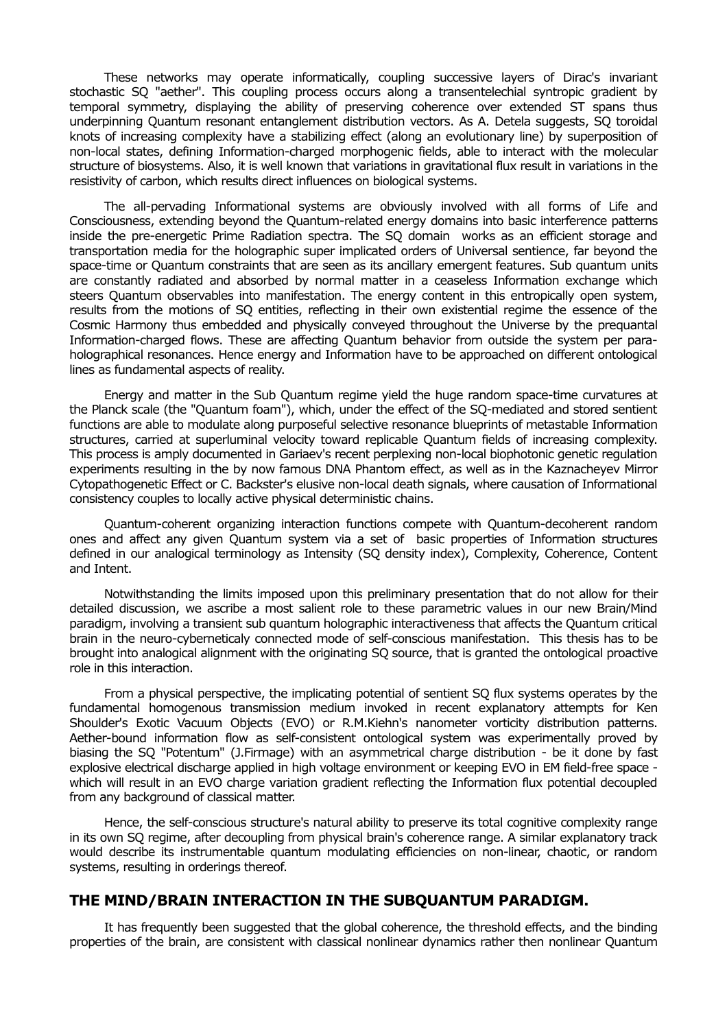These networks may operate informatically, coupling successive layers of Dirac's invariant stochastic SQ "aether". This coupling process occurs along a transentelechial syntropic gradient by temporal symmetry, displaying the ability of preserving coherence over extended ST spans thus underpinning Quantum resonant entanglement distribution vectors. As A. Detela suggests, SQ toroidal knots of increasing complexity have a stabilizing effect (along an evolutionary line) by superposition of non-local states, defining Information-charged morphogenic fields, able to interact with the molecular structure of biosystems. Also, it is well known that variations in gravitational flux result in variations in the resistivity of carbon, which results direct influences on biological systems.

The all-pervading Informational systems are obviously involved with all forms of Life and Consciousness, extending beyond the Quantum-related energy domains into basic interference patterns inside the pre-energetic Prime Radiation spectra. The SQ domain works as an efficient storage and transportation media for the holographic super implicated orders of Universal sentience, far beyond the space-time or Quantum constraints that are seen as its ancillary emergent features. Sub quantum units are constantly radiated and absorbed by normal matter in a ceaseless Information exchange which steers Quantum observables into manifestation. The energy content in this entropically open system, results from the motions of SQ entities, reflecting in their own existential regime the essence of the Cosmic Harmony thus embedded and physically conveyed throughout the Universe by the prequantal Information-charged flows. These are affecting Quantum behavior from outside the system per paraholographical resonances. Hence energy and Information have to be approached on different ontological lines as fundamental aspects of reality.

Energy and matter in the Sub Quantum regime yield the huge random space-time curvatures at the Planck scale (the "Quantum foam"), which, under the effect of the SQ-mediated and stored sentient functions are able to modulate along purposeful selective resonance blueprints of metastable Information structures, carried at superluminal velocity toward replicable Quantum fields of increasing complexity. This process is amply documented in Gariaev's recent perplexing non-local biophotonic genetic regulation experiments resulting in the by now famous DNA Phantom effect, as well as in the Kaznacheyev Mirror Cytopathogenetic Effect or C. Backster's elusive non-local death signals, where causation of Informational consistency couples to locally active physical deterministic chains.

Quantum-coherent organizing interaction functions compete with Quantum-decoherent random ones and affect any given Quantum system via a set of basic properties of Information structures defined in our analogical terminology as Intensity (SQ density index), Complexity, Coherence, Content and Intent.

Notwithstanding the limits imposed upon this preliminary presentation that do not allow for their detailed discussion, we ascribe a most salient role to these parametric values in our new Brain/Mind paradigm, involving a transient sub quantum holographic interactiveness that affects the Quantum critical brain in the neuro-cyberneticaly connected mode of self-conscious manifestation. This thesis has to be brought into analogical alignment with the originating SQ source, that is granted the ontological proactive role in this interaction.

From a physical perspective, the implicating potential of sentient SQ flux systems operates by the fundamental homogenous transmission medium invoked in recent explanatory attempts for Ken Shoulder's Exotic Vacuum Objects (EVO) or R.M.Kiehn's nanometer vorticity distribution patterns. Aether-bound information flow as self-consistent ontological system was experimentally proved by biasing the SQ "Potentum" (J.Firmage) with an asymmetrical charge distribution - be it done by fast explosive electrical discharge applied in high voltage environment or keeping EVO in EM field-free space which will result in an EVO charge variation gradient reflecting the Information flux potential decoupled from any background of classical matter.

Hence, the self-conscious structure's natural ability to preserve its total cognitive complexity range in its own SQ regime, after decoupling from physical brain's coherence range. A similar explanatory track would describe its instrumentable quantum modulating efficiencies on non-linear, chaotic, or random systems, resulting in orderings thereof.

#### **THE MIND/BRAIN INTERACTION IN THE SUBQUANTUM PARADIGM.**

It has frequently been suggested that the global coherence, the threshold effects, and the binding properties of the brain, are consistent with classical nonlinear dynamics rather then nonlinear Quantum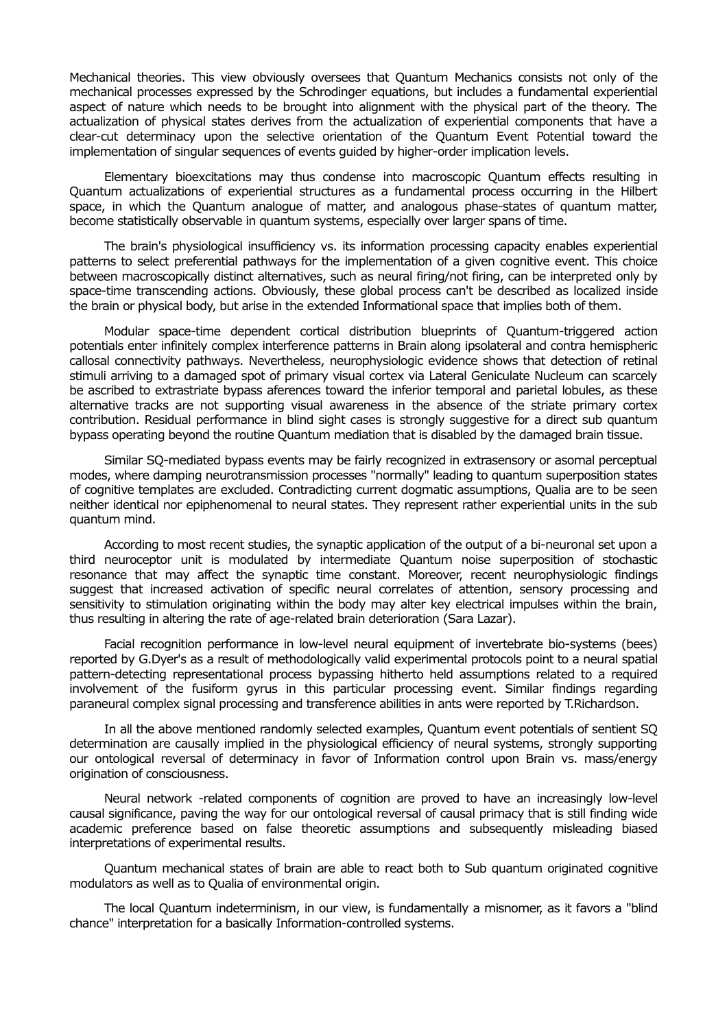Mechanical theories. This view obviously oversees that Quantum Mechanics consists not only of the mechanical processes expressed by the Schrodinger equations, but includes a fundamental experiential aspect of nature which needs to be brought into alignment with the physical part of the theory. The actualization of physical states derives from the actualization of experiential components that have a clear-cut determinacy upon the selective orientation of the Quantum Event Potential toward the implementation of singular sequences of events guided by higher-order implication levels.

Elementary bioexcitations may thus condense into macroscopic Quantum effects resulting in Quantum actualizations of experiential structures as a fundamental process occurring in the Hilbert space, in which the Quantum analogue of matter, and analogous phase-states of quantum matter, become statistically observable in quantum systems, especially over larger spans of time.

The brain's physiological insufficiency vs. its information processing capacity enables experiential patterns to select preferential pathways for the implementation of a given cognitive event. This choice between macroscopically distinct alternatives, such as neural firing/not firing, can be interpreted only by space-time transcending actions. Obviously, these global process can't be described as localized inside the brain or physical body, but arise in the extended Informational space that implies both of them.

Modular space-time dependent cortical distribution blueprints of Quantum-triggered action potentials enter infinitely complex interference patterns in Brain along ipsolateral and contra hemispheric callosal connectivity pathways. Nevertheless, neurophysiologic evidence shows that detection of retinal stimuli arriving to a damaged spot of primary visual cortex via Lateral Geniculate Nucleum can scarcely be ascribed to extrastriate bypass aferences toward the inferior temporal and parietal lobules, as these alternative tracks are not supporting visual awareness in the absence of the striate primary cortex contribution. Residual performance in blind sight cases is strongly suggestive for a direct sub quantum bypass operating beyond the routine Quantum mediation that is disabled by the damaged brain tissue.

Similar SQ-mediated bypass events may be fairly recognized in extrasensory or asomal perceptual modes, where damping neurotransmission processes "normally" leading to quantum superposition states of cognitive templates are excluded. Contradicting current dogmatic assumptions, Qualia are to be seen neither identical nor epiphenomenal to neural states. They represent rather experiential units in the sub quantum mind.

According to most recent studies, the synaptic application of the output of a bi-neuronal set upon a third neuroceptor unit is modulated by intermediate Quantum noise superposition of stochastic resonance that may affect the synaptic time constant. Moreover, recent neurophysiologic findings suggest that increased activation of specific neural correlates of attention, sensory processing and sensitivity to stimulation originating within the body may alter key electrical impulses within the brain, thus resulting in altering the rate of age-related brain deterioration (Sara Lazar).

Facial recognition performance in low-level neural equipment of invertebrate bio-systems (bees) reported by G.Dyer's as a result of methodologically valid experimental protocols point to a neural spatial pattern-detecting representational process bypassing hitherto held assumptions related to a required involvement of the fusiform gyrus in this particular processing event. Similar findings regarding paraneural complex signal processing and transference abilities in ants were reported by T.Richardson.

In all the above mentioned randomly selected examples, Quantum event potentials of sentient SQ determination are causally implied in the physiological efficiency of neural systems, strongly supporting our ontological reversal of determinacy in favor of Information control upon Brain vs. mass/energy origination of consciousness.

Neural network -related components of cognition are proved to have an increasingly low-level causal significance, paving the way for our ontological reversal of causal primacy that is still finding wide academic preference based on false theoretic assumptions and subsequently misleading biased interpretations of experimental results.

Quantum mechanical states of brain are able to react both to Sub quantum originated cognitive modulators as well as to Qualia of environmental origin.

The local Quantum indeterminism, in our view, is fundamentally a misnomer, as it favors a "blind chance" interpretation for a basically Information-controlled systems.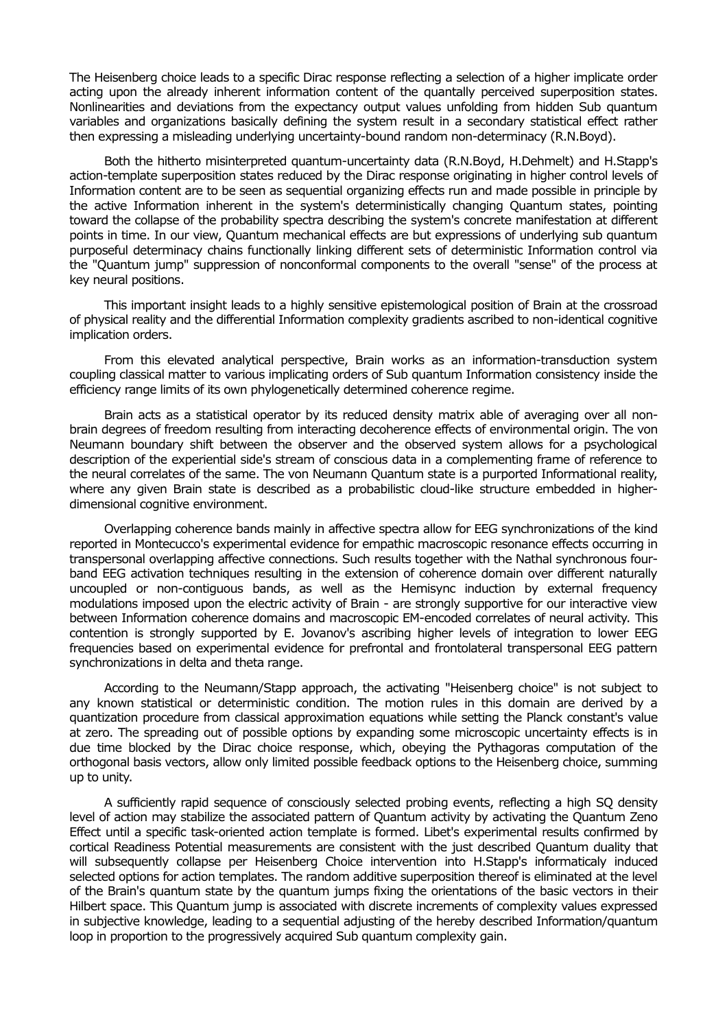The Heisenberg choice leads to a specific Dirac response reflecting a selection of a higher implicate order acting upon the already inherent information content of the quantally perceived superposition states. Nonlinearities and deviations from the expectancy output values unfolding from hidden Sub quantum variables and organizations basically defining the system result in a secondary statistical effect rather then expressing a misleading underlying uncertainty-bound random non-determinacy (R.N.Boyd).

Both the hitherto misinterpreted quantum-uncertainty data (R.N.Boyd, H.Dehmelt) and H.Stapp's action-template superposition states reduced by the Dirac response originating in higher control levels of Information content are to be seen as sequential organizing effects run and made possible in principle by the active Information inherent in the system's deterministically changing Quantum states, pointing toward the collapse of the probability spectra describing the system's concrete manifestation at different points in time. In our view, Quantum mechanical effects are but expressions of underlying sub quantum purposeful determinacy chains functionally linking different sets of deterministic Information control via the "Quantum jump" suppression of nonconformal components to the overall "sense" of the process at key neural positions.

This important insight leads to a highly sensitive epistemological position of Brain at the crossroad of physical reality and the differential Information complexity gradients ascribed to non-identical cognitive implication orders.

From this elevated analytical perspective, Brain works as an information-transduction system coupling classical matter to various implicating orders of Sub quantum Information consistency inside the efficiency range limits of its own phylogenetically determined coherence regime.

Brain acts as a statistical operator by its reduced density matrix able of averaging over all nonbrain degrees of freedom resulting from interacting decoherence effects of environmental origin. The von Neumann boundary shift between the observer and the observed system allows for a psychological description of the experiential side's stream of conscious data in a complementing frame of reference to the neural correlates of the same. The von Neumann Quantum state is a purported Informational reality, where any given Brain state is described as a probabilistic cloud-like structure embedded in higherdimensional cognitive environment.

Overlapping coherence bands mainly in affective spectra allow for EEG synchronizations of the kind reported in Montecucco's experimental evidence for empathic macroscopic resonance effects occurring in transpersonal overlapping affective connections. Such results together with the Nathal synchronous fourband EEG activation techniques resulting in the extension of coherence domain over different naturally uncoupled or non-contiguous bands, as well as the Hemisync induction by external frequency modulations imposed upon the electric activity of Brain - are strongly supportive for our interactive view between Information coherence domains and macroscopic EM-encoded correlates of neural activity. This contention is strongly supported by E. Jovanov's ascribing higher levels of integration to lower EEG frequencies based on experimental evidence for prefrontal and frontolateral transpersonal EEG pattern synchronizations in delta and theta range.

According to the Neumann/Stapp approach, the activating "Heisenberg choice" is not subject to any known statistical or deterministic condition. The motion rules in this domain are derived by a quantization procedure from classical approximation equations while setting the Planck constant's value at zero. The spreading out of possible options by expanding some microscopic uncertainty effects is in due time blocked by the Dirac choice response, which, obeying the Pythagoras computation of the orthogonal basis vectors, allow only limited possible feedback options to the Heisenberg choice, summing up to unity.

A sufficiently rapid sequence of consciously selected probing events, reflecting a high SQ density level of action may stabilize the associated pattern of Quantum activity by activating the Quantum Zeno Effect until a specific task-oriented action template is formed. Libet's experimental results confirmed by cortical Readiness Potential measurements are consistent with the just described Quantum duality that will subsequently collapse per Heisenberg Choice intervention into H.Stapp's informaticaly induced selected options for action templates. The random additive superposition thereof is eliminated at the level of the Brain's quantum state by the quantum jumps fixing the orientations of the basic vectors in their Hilbert space. This Quantum jump is associated with discrete increments of complexity values expressed in subjective knowledge, leading to a sequential adjusting of the hereby described Information/quantum loop in proportion to the progressively acquired Sub quantum complexity gain.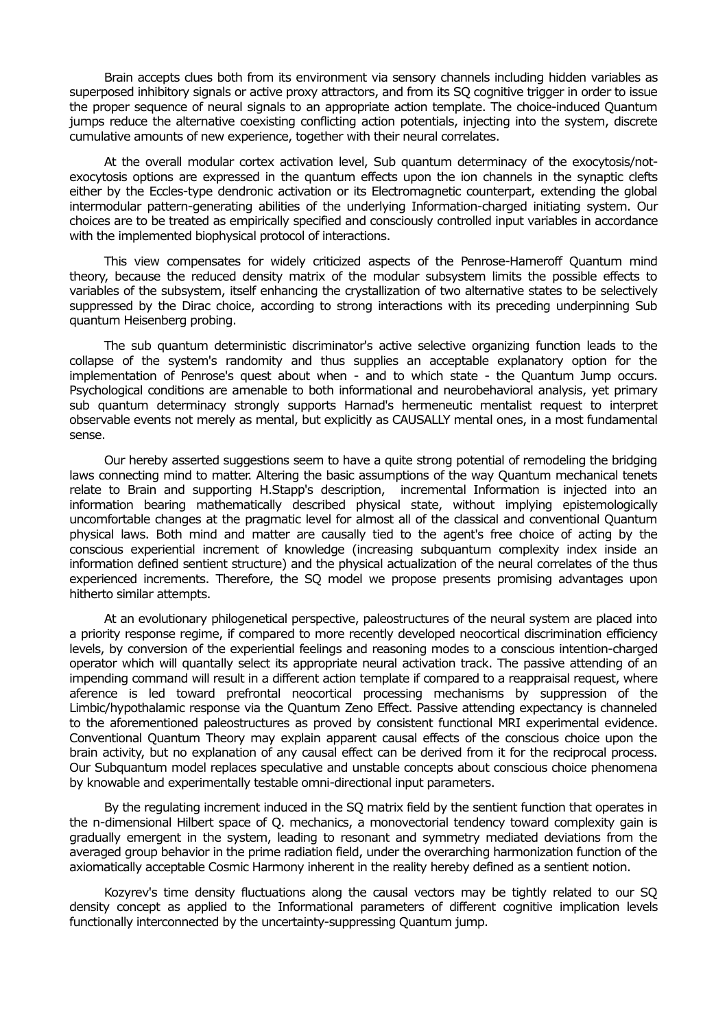Brain accepts clues both from its environment via sensory channels including hidden variables as superposed inhibitory signals or active proxy attractors, and from its SQ cognitive trigger in order to issue the proper sequence of neural signals to an appropriate action template. The choice-induced Quantum jumps reduce the alternative coexisting conflicting action potentials, injecting into the system, discrete cumulative amounts of new experience, together with their neural correlates.

At the overall modular cortex activation level, Sub quantum determinacy of the exocytosis/notexocytosis options are expressed in the quantum effects upon the ion channels in the synaptic clefts either by the Eccles-type dendronic activation or its Electromagnetic counterpart, extending the global intermodular pattern-generating abilities of the underlying Information-charged initiating system. Our choices are to be treated as empirically specified and consciously controlled input variables in accordance with the implemented biophysical protocol of interactions.

This view compensates for widely criticized aspects of the Penrose-Hameroff Quantum mind theory, because the reduced density matrix of the modular subsystem limits the possible effects to variables of the subsystem, itself enhancing the crystallization of two alternative states to be selectively suppressed by the Dirac choice, according to strong interactions with its preceding underpinning Sub quantum Heisenberg probing.

The sub quantum deterministic discriminator's active selective organizing function leads to the collapse of the system's randomity and thus supplies an acceptable explanatory option for the implementation of Penrose's quest about when - and to which state - the Quantum Jump occurs. Psychological conditions are amenable to both informational and neurobehavioral analysis, yet primary sub quantum determinacy strongly supports Harnad's hermeneutic mentalist request to interpret observable events not merely as mental, but explicitly as CAUSALLY mental ones, in a most fundamental sense.

Our hereby asserted suggestions seem to have a quite strong potential of remodeling the bridging laws connecting mind to matter. Altering the basic assumptions of the way Quantum mechanical tenets relate to Brain and supporting H.Stapp's description, incremental Information is injected into an information bearing mathematically described physical state, without implying epistemologically uncomfortable changes at the pragmatic level for almost all of the classical and conventional Quantum physical laws. Both mind and matter are causally tied to the agent's free choice of acting by the conscious experiential increment of knowledge (increasing subquantum complexity index inside an information defined sentient structure) and the physical actualization of the neural correlates of the thus experienced increments. Therefore, the SQ model we propose presents promising advantages upon hitherto similar attempts.

At an evolutionary philogenetical perspective, paleostructures of the neural system are placed into a priority response regime, if compared to more recently developed neocortical discrimination efficiency levels, by conversion of the experiential feelings and reasoning modes to a conscious intention-charged operator which will quantally select its appropriate neural activation track. The passive attending of an impending command will result in a different action template if compared to a reappraisal request, where aference is led toward prefrontal neocortical processing mechanisms by suppression of the Limbic/hypothalamic response via the Quantum Zeno Effect. Passive attending expectancy is channeled to the aforementioned paleostructures as proved by consistent functional MRI experimental evidence. Conventional Quantum Theory may explain apparent causal effects of the conscious choice upon the brain activity, but no explanation of any causal effect can be derived from it for the reciprocal process. Our Subquantum model replaces speculative and unstable concepts about conscious choice phenomena by knowable and experimentally testable omni-directional input parameters.

By the regulating increment induced in the SQ matrix field by the sentient function that operates in the n-dimensional Hilbert space of Q. mechanics, a monovectorial tendency toward complexity gain is gradually emergent in the system, leading to resonant and symmetry mediated deviations from the averaged group behavior in the prime radiation field, under the overarching harmonization function of the axiomatically acceptable Cosmic Harmony inherent in the reality hereby defined as a sentient notion.

Kozyrev's time density fluctuations along the causal vectors may be tightly related to our SQ density concept as applied to the Informational parameters of different cognitive implication levels functionally interconnected by the uncertainty-suppressing Quantum jump.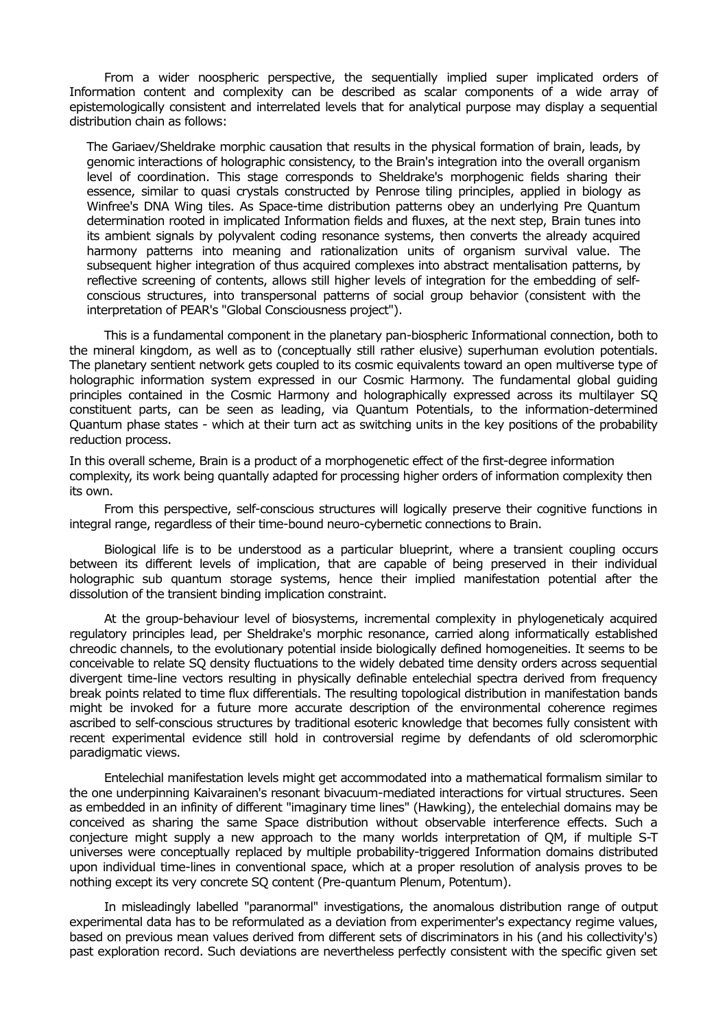From a wider noospheric perspective, the sequentially implied super implicated orders of Information content and complexity can be described as scalar components of a wide array of epistemologically consistent and interrelated levels that for analytical purpose may display a sequential distribution chain as follows:

The Gariaev/Sheldrake morphic causation that results in the physical formation of brain, leads, by genomic interactions of holographic consistency, to the Brain's integration into the overall organism level of coordination. This stage corresponds to Sheldrake's morphogenic fields sharing their essence, similar to quasi crystals constructed by Penrose tiling principles, applied in biology as Winfree's DNA Wing tiles. As Space-time distribution patterns obey an underlying Pre Quantum determination rooted in implicated Information fields and fluxes, at the next step, Brain tunes into its ambient signals by polyvalent coding resonance systems, then converts the already acquired harmony patterns into meaning and rationalization units of organism survival value. The subsequent higher integration of thus acquired complexes into abstract mentalisation patterns, by reflective screening of contents, allows still higher levels of integration for the embedding of selfconscious structures, into transpersonal patterns of social group behavior (consistent with the interpretation of PEAR's "Global Consciousness project").

This is a fundamental component in the planetary pan-biospheric Informational connection, both to the mineral kingdom, as well as to (conceptually still rather elusive) superhuman evolution potentials. The planetary sentient network gets coupled to its cosmic equivalents toward an open multiverse type of holographic information system expressed in our Cosmic Harmony. The fundamental global guiding principles contained in the Cosmic Harmony and holographically expressed across its multilayer SQ constituent parts, can be seen as leading, via Quantum Potentials, to the information-determined Quantum phase states - which at their turn act as switching units in the key positions of the probability reduction process.

In this overall scheme, Brain is a product of a morphogenetic effect of the first-degree information complexity, its work being quantally adapted for processing higher orders of information complexity then its own.

From this perspective, self-conscious structures will logically preserve their cognitive functions in integral range, regardless of their time-bound neuro-cybernetic connections to Brain.

Biological life is to be understood as a particular blueprint, where a transient coupling occurs between its different levels of implication, that are capable of being preserved in their individual holographic sub quantum storage systems, hence their implied manifestation potential after the dissolution of the transient binding implication constraint.

At the group-behaviour level of biosystems, incremental complexity in phylogeneticaly acquired regulatory principles lead, per Sheldrake's morphic resonance, carried along informatically established chreodic channels, to the evolutionary potential inside biologically defined homogeneities. It seems to be conceivable to relate SQ density fluctuations to the widely debated time density orders across sequential divergent time-line vectors resulting in physically definable entelechial spectra derived from frequency break points related to time flux differentials. The resulting topological distribution in manifestation bands might be invoked for a future more accurate description of the environmental coherence regimes ascribed to self-conscious structures by traditional esoteric knowledge that becomes fully consistent with recent experimental evidence still hold in controversial regime by defendants of old scleromorphic paradigmatic views.

Entelechial manifestation levels might get accommodated into a mathematical formalism similar to the one underpinning Kaivarainen's resonant bivacuum-mediated interactions for virtual structures. Seen as embedded in an infinity of different "imaginary time lines" (Hawking), the entelechial domains may be conceived as sharing the same Space distribution without observable interference effects. Such a conjecture might supply a new approach to the many worlds interpretation of QM, if multiple S-T universes were conceptually replaced by multiple probability-triggered Information domains distributed upon individual time-lines in conventional space, which at a proper resolution of analysis proves to be nothing except its very concrete SQ content (Pre-quantum Plenum, Potentum).

In misleadingly labelled "paranormal" investigations, the anomalous distribution range of output experimental data has to be reformulated as a deviation from experimenter's expectancy regime values, based on previous mean values derived from different sets of discriminators in his (and his collectivity's) past exploration record. Such deviations are nevertheless perfectly consistent with the specific given set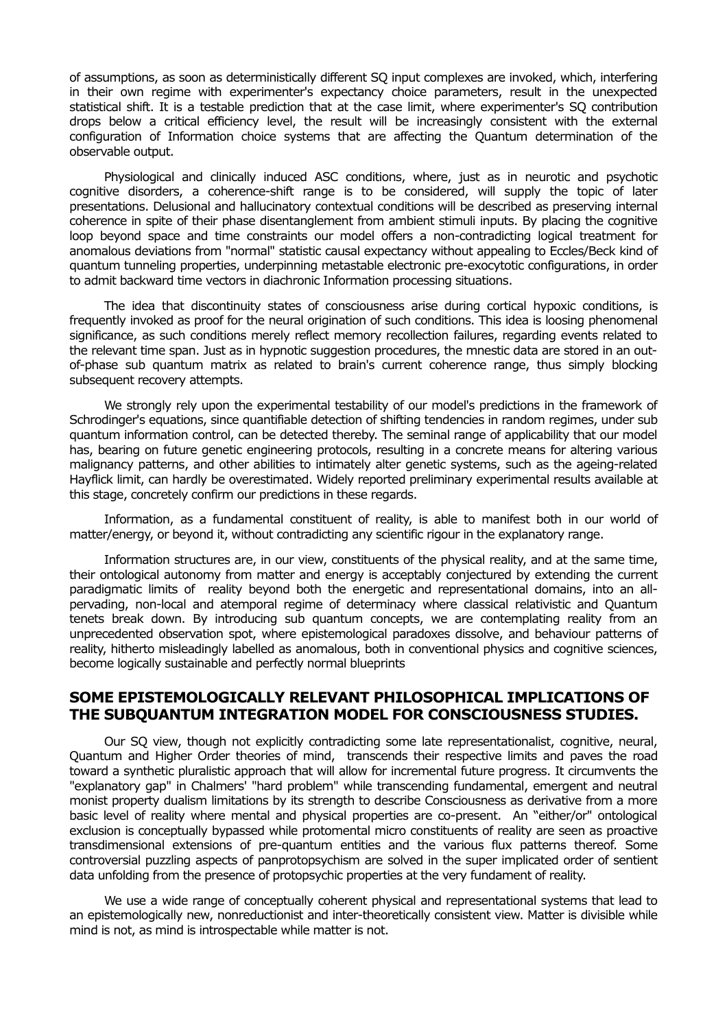of assumptions, as soon as deterministically different SQ input complexes are invoked, which, interfering in their own regime with experimenter's expectancy choice parameters, result in the unexpected statistical shift. It is a testable prediction that at the case limit, where experimenter's SQ contribution drops below a critical efficiency level, the result will be increasingly consistent with the external configuration of Information choice systems that are affecting the Quantum determination of the observable output.

Physiological and clinically induced ASC conditions, where, just as in neurotic and psychotic cognitive disorders, a coherence-shift range is to be considered, will supply the topic of later presentations. Delusional and hallucinatory contextual conditions will be described as preserving internal coherence in spite of their phase disentanglement from ambient stimuli inputs. By placing the cognitive loop beyond space and time constraints our model offers a non-contradicting logical treatment for anomalous deviations from "normal" statistic causal expectancy without appealing to Eccles/Beck kind of quantum tunneling properties, underpinning metastable electronic pre-exocytotic configurations, in order to admit backward time vectors in diachronic Information processing situations.

The idea that discontinuity states of consciousness arise during cortical hypoxic conditions, is frequently invoked as proof for the neural origination of such conditions. This idea is loosing phenomenal significance, as such conditions merely reflect memory recollection failures, regarding events related to the relevant time span. Just as in hypnotic suggestion procedures, the mnestic data are stored in an outof-phase sub quantum matrix as related to brain's current coherence range, thus simply blocking subsequent recovery attempts.

We strongly rely upon the experimental testability of our model's predictions in the framework of Schrodinger's equations, since quantifiable detection of shifting tendencies in random regimes, under sub quantum information control, can be detected thereby. The seminal range of applicability that our model has, bearing on future genetic engineering protocols, resulting in a concrete means for altering various malignancy patterns, and other abilities to intimately alter genetic systems, such as the ageing-related Hayflick limit, can hardly be overestimated. Widely reported preliminary experimental results available at this stage, concretely confirm our predictions in these regards.

Information, as a fundamental constituent of reality, is able to manifest both in our world of matter/energy, or beyond it, without contradicting any scientific rigour in the explanatory range.

Information structures are, in our view, constituents of the physical reality, and at the same time, their ontological autonomy from matter and energy is acceptably conjectured by extending the current paradigmatic limits of reality beyond both the energetic and representational domains, into an allpervading, non-local and atemporal regime of determinacy where classical relativistic and Quantum tenets break down. By introducing sub quantum concepts, we are contemplating reality from an unprecedented observation spot, where epistemological paradoxes dissolve, and behaviour patterns of reality, hitherto misleadingly labelled as anomalous, both in conventional physics and cognitive sciences, become logically sustainable and perfectly normal blueprints

# **SOME EPISTEMOLOGICALLY RELEVANT PHILOSOPHICAL IMPLICATIONS OF THE SUBQUANTUM INTEGRATION MODEL FOR CONSCIOUSNESS STUDIES.**

Our SQ view, though not explicitly contradicting some late representationalist, cognitive, neural, Quantum and Higher Order theories of mind, transcends their respective limits and paves the road toward a synthetic pluralistic approach that will allow for incremental future progress. It circumvents the "explanatory gap" in Chalmers' "hard problem" while transcending fundamental, emergent and neutral monist property dualism limitations by its strength to describe Consciousness as derivative from a more basic level of reality where mental and physical properties are co-present. An "either/or" ontological exclusion is conceptually bypassed while protomental micro constituents of reality are seen as proactive transdimensional extensions of pre-quantum entities and the various flux patterns thereof. Some controversial puzzling aspects of panprotopsychism are solved in the super implicated order of sentient data unfolding from the presence of protopsychic properties at the very fundament of reality.

We use a wide range of conceptually coherent physical and representational systems that lead to an epistemologically new, nonreductionist and inter-theoretically consistent view. Matter is divisible while mind is not, as mind is introspectable while matter is not.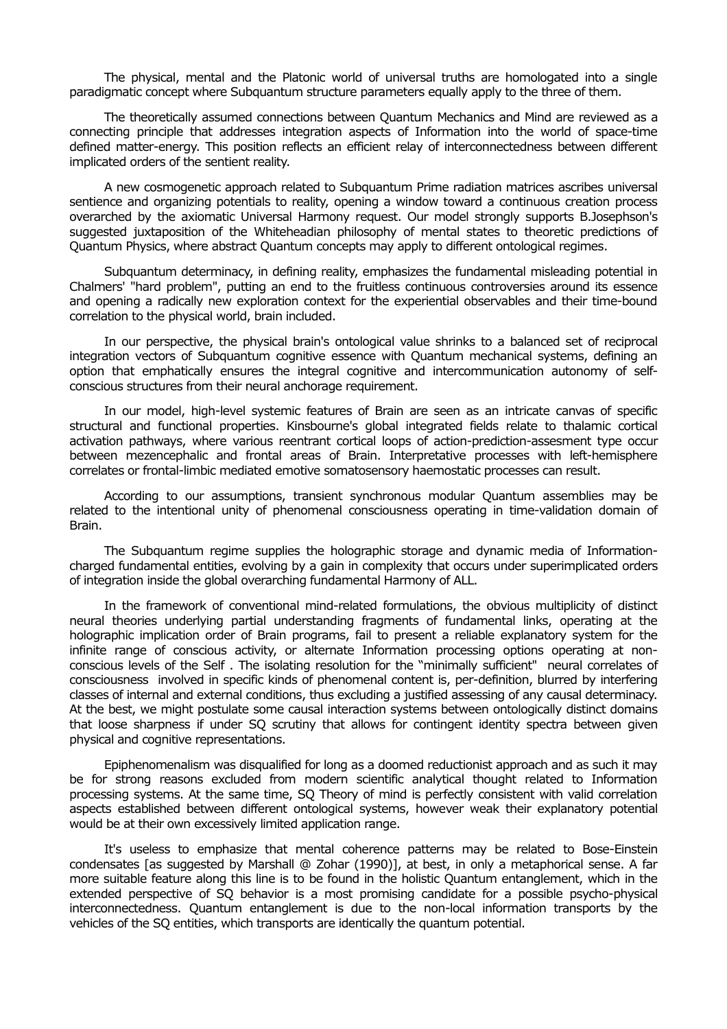The physical, mental and the Platonic world of universal truths are homologated into a single paradigmatic concept where Subquantum structure parameters equally apply to the three of them.

The theoretically assumed connections between Quantum Mechanics and Mind are reviewed as a connecting principle that addresses integration aspects of Information into the world of space-time defined matter-energy. This position reflects an efficient relay of interconnectedness between different implicated orders of the sentient reality.

A new cosmogenetic approach related to Subquantum Prime radiation matrices ascribes universal sentience and organizing potentials to reality, opening a window toward a continuous creation process overarched by the axiomatic Universal Harmony request. Our model strongly supports B.Josephson's suggested juxtaposition of the Whiteheadian philosophy of mental states to theoretic predictions of Quantum Physics, where abstract Quantum concepts may apply to different ontological regimes.

Subquantum determinacy, in defining reality, emphasizes the fundamental misleading potential in Chalmers' "hard problem", putting an end to the fruitless continuous controversies around its essence and opening a radically new exploration context for the experiential observables and their time-bound correlation to the physical world, brain included.

In our perspective, the physical brain's ontological value shrinks to a balanced set of reciprocal integration vectors of Subquantum cognitive essence with Quantum mechanical systems, defining an option that emphatically ensures the integral cognitive and intercommunication autonomy of selfconscious structures from their neural anchorage requirement.

In our model, high-level systemic features of Brain are seen as an intricate canvas of specific structural and functional properties. Kinsbourne's global integrated fields relate to thalamic cortical activation pathways, where various reentrant cortical loops of action-prediction-assesment type occur between mezencephalic and frontal areas of Brain. Interpretative processes with left-hemisphere correlates or frontal-limbic mediated emotive somatosensory haemostatic processes can result.

According to our assumptions, transient synchronous modular Quantum assemblies may be related to the intentional unity of phenomenal consciousness operating in time-validation domain of Brain.

The Subquantum regime supplies the holographic storage and dynamic media of Informationcharged fundamental entities, evolving by a gain in complexity that occurs under superimplicated orders of integration inside the global overarching fundamental Harmony of ALL.

In the framework of conventional mind-related formulations, the obvious multiplicity of distinct neural theories underlying partial understanding fragments of fundamental links, operating at the holographic implication order of Brain programs, fail to present a reliable explanatory system for the infinite range of conscious activity, or alternate Information processing options operating at nonconscious levels of the Self . The isolating resolution for the "minimally sufficient" neural correlates of consciousness involved in specific kinds of phenomenal content is, per-definition, blurred by interfering classes of internal and external conditions, thus excluding a justified assessing of any causal determinacy. At the best, we might postulate some causal interaction systems between ontologically distinct domains that loose sharpness if under SQ scrutiny that allows for contingent identity spectra between given physical and cognitive representations.

Epiphenomenalism was disqualified for long as a doomed reductionist approach and as such it may be for strong reasons excluded from modern scientific analytical thought related to Information processing systems. At the same time, SQ Theory of mind is perfectly consistent with valid correlation aspects established between different ontological systems, however weak their explanatory potential would be at their own excessively limited application range.

It's useless to emphasize that mental coherence patterns may be related to Bose-Einstein condensates [as suggested by Marshall @ Zohar (1990)], at best, in only a metaphorical sense. A far more suitable feature along this line is to be found in the holistic Quantum entanglement, which in the extended perspective of SQ behavior is a most promising candidate for a possible psycho-physical interconnectedness. Quantum entanglement is due to the non-local information transports by the vehicles of the SQ entities, which transports are identically the quantum potential.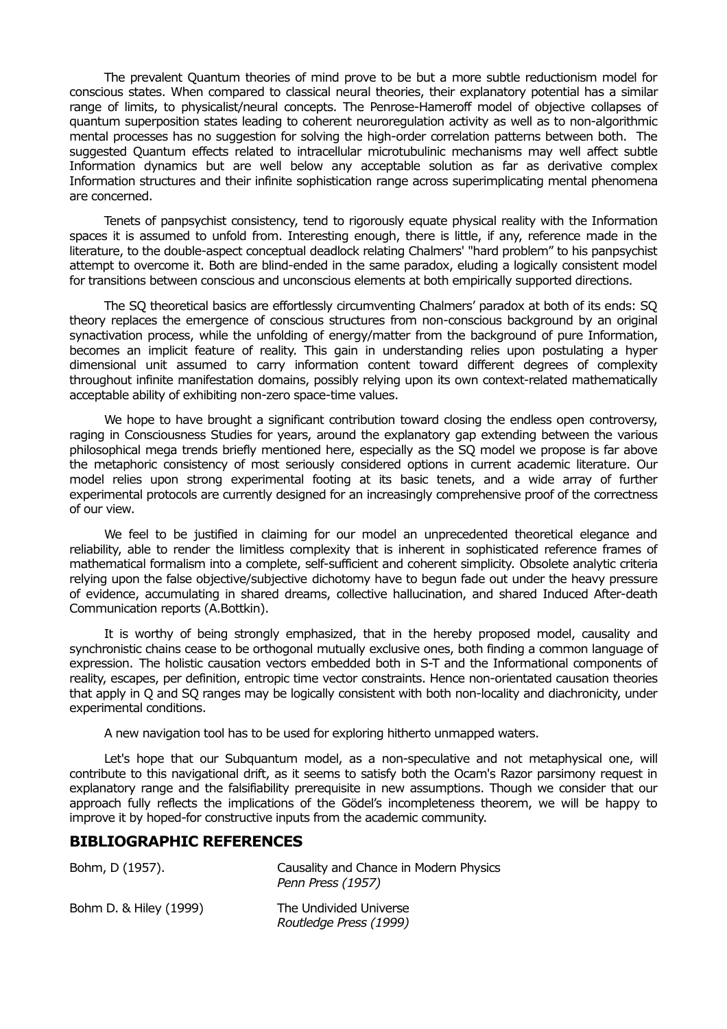The prevalent Quantum theories of mind prove to be but a more subtle reductionism model for conscious states. When compared to classical neural theories, their explanatory potential has a similar range of limits, to physicalist/neural concepts. The Penrose-Hameroff model of objective collapses of quantum superposition states leading to coherent neuroregulation activity as well as to non-algorithmic mental processes has no suggestion for solving the high-order correlation patterns between both. The suggested Quantum effects related to intracellular microtubulinic mechanisms may well affect subtle Information dynamics but are well below any acceptable solution as far as derivative complex Information structures and their infinite sophistication range across superimplicating mental phenomena are concerned.

Tenets of panpsychist consistency, tend to rigorously equate physical reality with the Information spaces it is assumed to unfold from. Interesting enough, there is little, if any, reference made in the literature, to the double-aspect conceptual deadlock relating Chalmers' "hard problem" to his panpsychist attempt to overcome it. Both are blind-ended in the same paradox, eluding a logically consistent model for transitions between conscious and unconscious elements at both empirically supported directions.

The SQ theoretical basics are effortlessly circumventing Chalmers' paradox at both of its ends: SQ theory replaces the emergence of conscious structures from non-conscious background by an original synactivation process, while the unfolding of energy/matter from the background of pure Information, becomes an implicit feature of reality. This gain in understanding relies upon postulating a hyper dimensional unit assumed to carry information content toward different degrees of complexity throughout infinite manifestation domains, possibly relying upon its own context-related mathematically acceptable ability of exhibiting non-zero space-time values.

We hope to have brought a significant contribution toward closing the endless open controversy, raging in Consciousness Studies for years, around the explanatory gap extending between the various philosophical mega trends briefly mentioned here, especially as the SQ model we propose is far above the metaphoric consistency of most seriously considered options in current academic literature. Our model relies upon strong experimental footing at its basic tenets, and a wide array of further experimental protocols are currently designed for an increasingly comprehensive proof of the correctness of our view.

We feel to be justified in claiming for our model an unprecedented theoretical elegance and reliability, able to render the limitless complexity that is inherent in sophisticated reference frames of mathematical formalism into a complete, self-sufficient and coherent simplicity. Obsolete analytic criteria relying upon the false objective/subjective dichotomy have to begun fade out under the heavy pressure of evidence, accumulating in shared dreams, collective hallucination, and shared Induced After-death Communication reports (A.Bottkin).

It is worthy of being strongly emphasized, that in the hereby proposed model, causality and synchronistic chains cease to be orthogonal mutually exclusive ones, both finding a common language of expression. The holistic causation vectors embedded both in S-T and the Informational components of reality, escapes, per definition, entropic time vector constraints. Hence non-orientated causation theories that apply in Q and SQ ranges may be logically consistent with both non-locality and diachronicity, under experimental conditions.

A new navigation tool has to be used for exploring hitherto unmapped waters.

Let's hope that our Subquantum model, as a non-speculative and not metaphysical one, will contribute to this navigational drift, as it seems to satisfy both the Ocam's Razor parsimony request in explanatory range and the falsifiability prerequisite in new assumptions. Though we consider that our approach fully reflects the implications of the Gödel's incompleteness theorem, we will be happy to improve it by hoped-for constructive inputs from the academic community.

## **BIBLIOGRAPHIC REFERENCES**

| Bohm, D (1957).        | Causality and Chance in Modern Physics<br>Penn Press (1957) |
|------------------------|-------------------------------------------------------------|
| Bohm D. & Hiley (1999) | The Undivided Universe<br>Routledge Press (1999)            |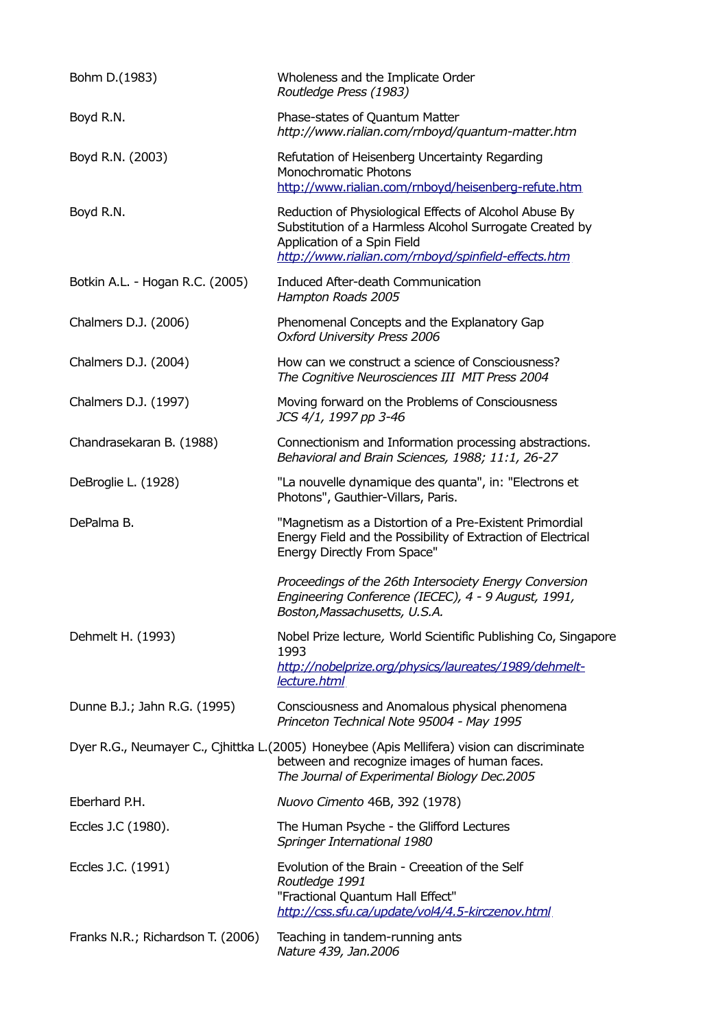| Bohm D.(1983)                     | Wholeness and the Implicate Order<br>Routledge Press (1983)                                                                                                                                             |
|-----------------------------------|---------------------------------------------------------------------------------------------------------------------------------------------------------------------------------------------------------|
| Boyd R.N.                         | Phase-states of Quantum Matter<br>http://www.rialian.com/rnboyd/quantum-matter.htm                                                                                                                      |
| Boyd R.N. (2003)                  | Refutation of Heisenberg Uncertainty Regarding<br>Monochromatic Photons<br>http://www.rialian.com/rnboyd/heisenberg-refute.htm                                                                          |
| Boyd R.N.                         | Reduction of Physiological Effects of Alcohol Abuse By<br>Substitution of a Harmless Alcohol Surrogate Created by<br>Application of a Spin Field<br>http://www.rialian.com/rnboyd/spinfield-effects.htm |
| Botkin A.L. - Hogan R.C. (2005)   | Induced After-death Communication<br>Hampton Roads 2005                                                                                                                                                 |
| Chalmers D.J. (2006)              | Phenomenal Concepts and the Explanatory Gap<br><b>Oxford University Press 2006</b>                                                                                                                      |
| Chalmers D.J. (2004)              | How can we construct a science of Consciousness?<br>The Cognitive Neurosciences III MIT Press 2004                                                                                                      |
| Chalmers D.J. (1997)              | Moving forward on the Problems of Consciousness<br>JCS 4/1, 1997 pp 3-46                                                                                                                                |
| Chandrasekaran B. (1988)          | Connectionism and Information processing abstractions.<br>Behavioral and Brain Sciences, 1988; 11:1, 26-27                                                                                              |
| DeBroglie L. (1928)               | "La nouvelle dynamique des quanta", in: "Electrons et<br>Photons", Gauthier-Villars, Paris.                                                                                                             |
| DePalma B.                        | "Magnetism as a Distortion of a Pre-Existent Primordial<br>Energy Field and the Possibility of Extraction of Electrical<br>Energy Directly From Space"                                                  |
|                                   | Proceedings of the 26th Intersociety Energy Conversion<br>Engineering Conference (IECEC), 4 - 9 August, 1991,<br>Boston, Massachusetts, U.S.A.                                                          |
| Dehmelt H. (1993)                 | Nobel Prize lecture, World Scientific Publishing Co, Singapore<br>1993<br>http://nobelprize.org/physics/laureates/1989/dehmelt-<br>lecture.html                                                         |
| Dunne B.J.; Jahn R.G. (1995)      | Consciousness and Anomalous physical phenomena<br>Princeton Technical Note 95004 - May 1995                                                                                                             |
|                                   | Dyer R.G., Neumayer C., Cjhittka L.(2005) Honeybee (Apis Mellifera) vision can discriminate<br>between and recognize images of human faces.<br>The Journal of Experimental Biology Dec.2005             |
| Eberhard P.H.                     | Nuovo Cimento 46B, 392 (1978)                                                                                                                                                                           |
| Eccles J.C (1980).                | The Human Psyche - the Glifford Lectures<br>Springer International 1980                                                                                                                                 |
| Eccles J.C. (1991)                | Evolution of the Brain - Creeation of the Self<br>Routledge 1991<br>"Fractional Quantum Hall Effect"<br>http://css.sfu.ca/update/vol4/4.5-kirczenov.html                                                |
| Franks N.R.; Richardson T. (2006) | Teaching in tandem-running ants<br>Nature 439, Jan.2006                                                                                                                                                 |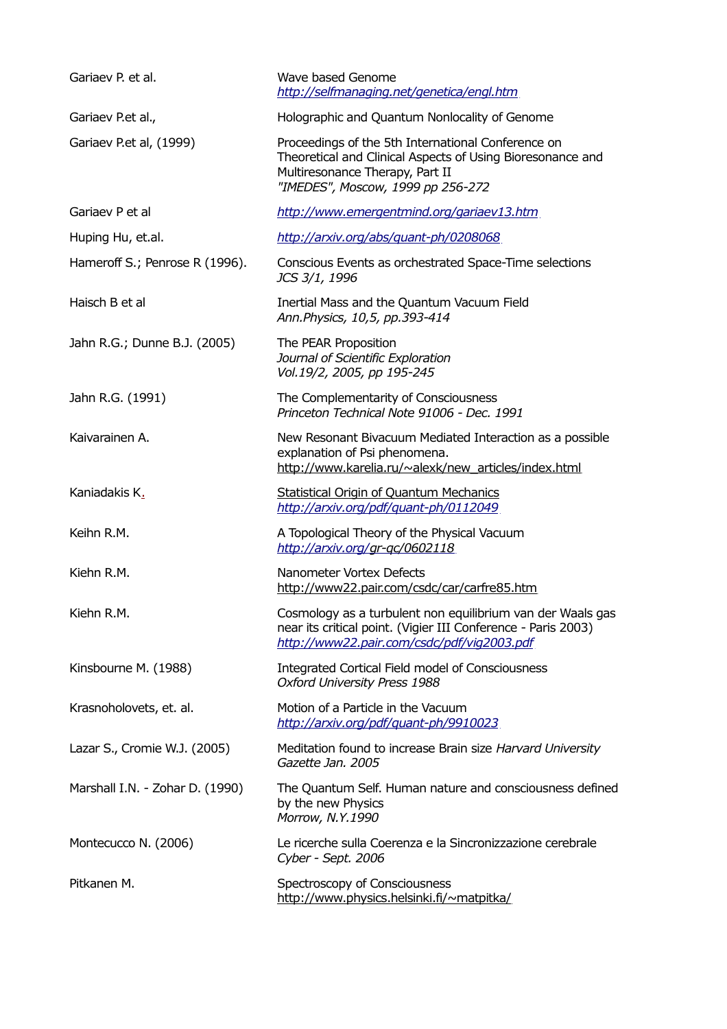| Gariaev P. et al.               | Wave based Genome<br>http://selfmanaging.net/genetica/engl.htm                                                                                                                           |
|---------------------------------|------------------------------------------------------------------------------------------------------------------------------------------------------------------------------------------|
| Gariaev P.et al.,               | Holographic and Quantum Nonlocality of Genome                                                                                                                                            |
| Gariaev P.et al, (1999)         | Proceedings of the 5th International Conference on<br>Theoretical and Clinical Aspects of Using Bioresonance and<br>Multiresonance Therapy, Part II<br>"IMEDES", Moscow, 1999 pp 256-272 |
| Gariaev P et al                 | http://www.emergentmind.org/gariaev13.htm                                                                                                                                                |
| Huping Hu, et.al.               | http://arxiv.org/abs/guant-ph/0208068                                                                                                                                                    |
| Hameroff S.; Penrose R (1996).  | Conscious Events as orchestrated Space-Time selections<br>JCS 3/1, 1996                                                                                                                  |
| Haisch B et al                  | Inertial Mass and the Quantum Vacuum Field<br>Ann.Physics, 10,5, pp.393-414                                                                                                              |
| Jahn R.G.; Dunne B.J. (2005)    | The PEAR Proposition<br>Journal of Scientific Exploration<br>Vol.19/2, 2005, pp 195-245                                                                                                  |
| Jahn R.G. (1991)                | The Complementarity of Consciousness<br>Princeton Technical Note 91006 - Dec. 1991                                                                                                       |
| Kaivarainen A.                  | New Resonant Bivacuum Mediated Interaction as a possible<br>explanation of Psi phenomena.<br>http://www.karelia.ru/~alexk/new articles/index.html                                        |
| Kaniadakis K.                   | <b>Statistical Origin of Quantum Mechanics</b><br>http://arxiv.org/pdf/quant-ph/0112049                                                                                                  |
| Keihn R.M.                      | A Topological Theory of the Physical Vacuum<br>http://arxiv.org/gr-gc/0602118                                                                                                            |
| Kiehn R.M.                      | Nanometer Vortex Defects<br>http://www22.pair.com/csdc/car/carfre85.htm                                                                                                                  |
| Kiehn R.M.                      | Cosmology as a turbulent non equilibrium van der Waals gas<br>near its critical point. (Vigier III Conference - Paris 2003)<br>http://www22.pair.com/csdc/pdf/vig2003.pdf                |
| Kinsbourne M. (1988)            | <b>Integrated Cortical Field model of Consciousness</b><br>Oxford University Press 1988                                                                                                  |
| Krasnoholovets, et. al.         | Motion of a Particle in the Vacuum<br>http://arxiv.org/pdf/quant-ph/9910023                                                                                                              |
| Lazar S., Cromie W.J. (2005)    | Meditation found to increase Brain size Harvard University<br>Gazette Jan. 2005                                                                                                          |
| Marshall I.N. - Zohar D. (1990) | The Quantum Self. Human nature and consciousness defined<br>by the new Physics<br>Morrow, N.Y.1990                                                                                       |
| Montecucco N. (2006)            | Le ricerche sulla Coerenza e la Sincronizzazione cerebrale<br>Cyber - Sept. 2006                                                                                                         |
| Pitkanen M.                     | Spectroscopy of Consciousness<br>http://www.physics.helsinki.fi/~matpitka/                                                                                                               |